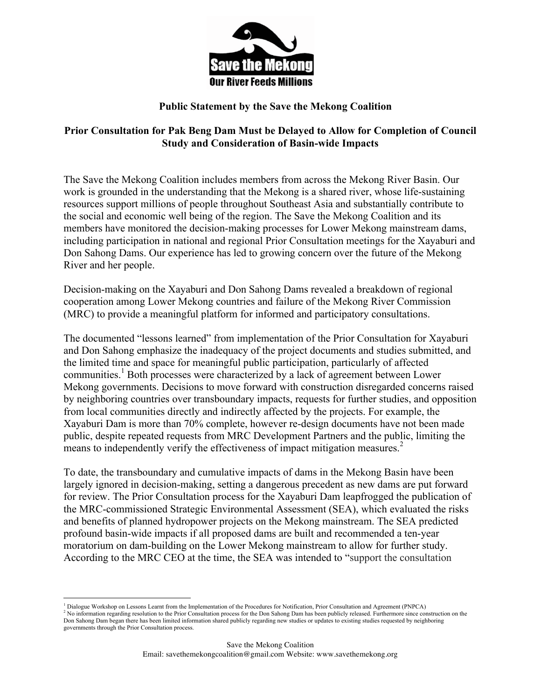

## **Public Statement by the Save the Mekong Coalition**

## **Prior Consultation for Pak Beng Dam Must be Delayed to Allow for Completion of Council Study and Consideration of Basin-wide Impacts**

The Save the Mekong Coalition includes members from across the Mekong River Basin. Our work is grounded in the understanding that the Mekong is a shared river, whose life-sustaining resources support millions of people throughout Southeast Asia and substantially contribute to the social and economic well being of the region. The Save the Mekong Coalition and its members have monitored the decision-making processes for Lower Mekong mainstream dams, including participation in national and regional Prior Consultation meetings for the Xayaburi and Don Sahong Dams. Our experience has led to growing concern over the future of the Mekong River and her people.

Decision-making on the Xayaburi and Don Sahong Dams revealed a breakdown of regional cooperation among Lower Mekong countries and failure of the Mekong River Commission (MRC) to provide a meaningful platform for informed and participatory consultations.

The documented "lessons learned" from implementation of the Prior Consultation for Xayaburi and Don Sahong emphasize the inadequacy of the project documents and studies submitted, and the limited time and space for meaningful public participation, particularly of affected communities. <sup>1</sup> Both processes were characterized by a lack of agreement between Lower Mekong governments. Decisions to move forward with construction disregarded concerns raised by neighboring countries over transboundary impacts, requests for further studies, and opposition from local communities directly and indirectly affected by the projects. For example, the Xayaburi Dam is more than 70% complete, however re-design documents have not been made public, despite repeated requests from MRC Development Partners and the public, limiting the means to independently verify the effectiveness of impact mitigation measures.<sup>2</sup>

To date, the transboundary and cumulative impacts of dams in the Mekong Basin have been largely ignored in decision-making, setting a dangerous precedent as new dams are put forward for review. The Prior Consultation process for the Xayaburi Dam leapfrogged the publication of the MRC-commissioned Strategic Environmental Assessment (SEA), which evaluated the risks and benefits of planned hydropower projects on the Mekong mainstream. The SEA predicted profound basin-wide impacts if all proposed dams are built and recommended a ten-year moratorium on dam-building on the Lower Mekong mainstream to allow for further study. According to the MRC CEO at the time, the SEA was intended to "support the consultation

 

<sup>&</sup>lt;sup>1</sup> Dialogue Workshop on Lessons Learnt from the Implementation of the Procedures for Notification, Prior Consultation and Agreement (PNPCA) <sup>2</sup> No information regarding resolution to the Prior Consultation process for the Don Sahong Dam has been publicly released. Furthermore since construction on the

Don Sahong Dam began there has been limited information shared publicly regarding new studies or updates to existing studies requested by neighboring governments through the Prior Consultation process.